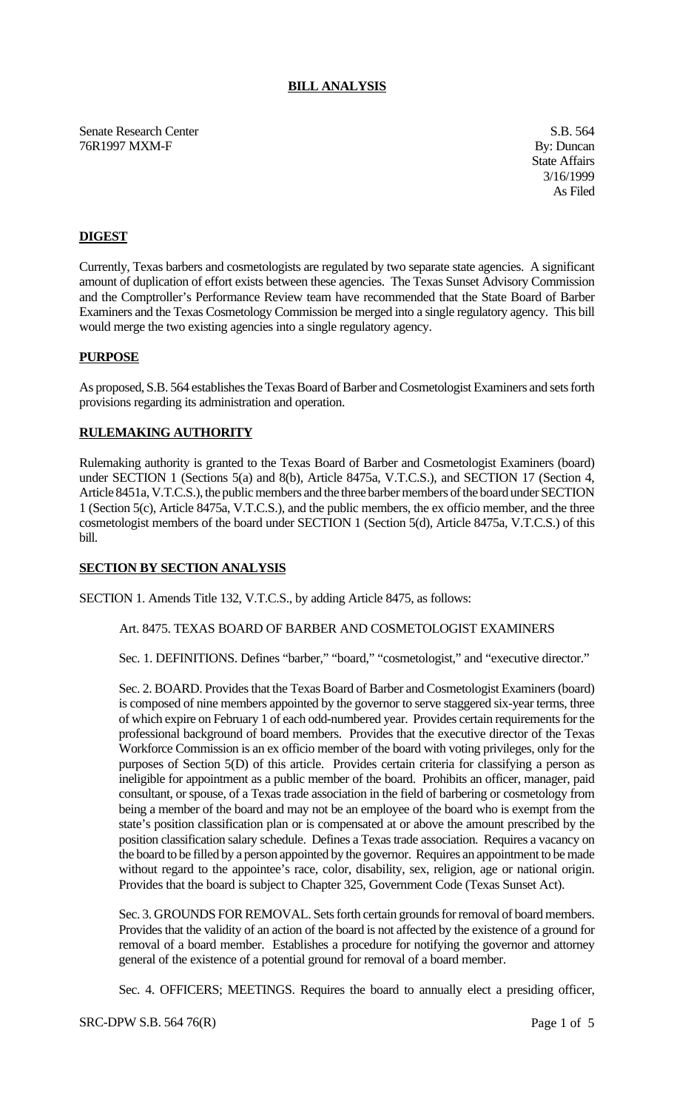## **BILL ANALYSIS**

Senate Research Center S.B. 564 76R1997 MXM-F By: Duncan

State Affairs 3/16/1999 As Filed

# **DIGEST**

Currently, Texas barbers and cosmetologists are regulated by two separate state agencies. A significant amount of duplication of effort exists between these agencies. The Texas Sunset Advisory Commission and the Comptroller's Performance Review team have recommended that the State Board of Barber Examiners and the Texas Cosmetology Commission be merged into a single regulatory agency. This bill would merge the two existing agencies into a single regulatory agency.

#### **PURPOSE**

As proposed, S.B. 564 establishes the Texas Board of Barber and Cosmetologist Examiners and sets forth provisions regarding its administration and operation.

## **RULEMAKING AUTHORITY**

Rulemaking authority is granted to the Texas Board of Barber and Cosmetologist Examiners (board) under SECTION 1 (Sections 5(a) and 8(b), Article 8475a, V.T.C.S.), and SECTION 17 (Section 4, Article 8451a, V.T.C.S.), the public members and the three barber members of the board under SECTION 1 (Section 5(c), Article 8475a, V.T.C.S.), and the public members, the ex officio member, and the three cosmetologist members of the board under SECTION 1 (Section 5(d), Article 8475a, V.T.C.S.) of this bill.

## **SECTION BY SECTION ANALYSIS**

SECTION 1. Amends Title 132, V.T.C.S., by adding Article 8475, as follows:

#### Art. 8475. TEXAS BOARD OF BARBER AND COSMETOLOGIST EXAMINERS

Sec. 1. DEFINITIONS. Defines "barber," "board," "cosmetologist," and "executive director."

Sec. 2. BOARD. Provides that the Texas Board of Barber and Cosmetologist Examiners (board) is composed of nine members appointed by the governor to serve staggered six-year terms, three of which expire on February 1 of each odd-numbered year. Provides certain requirements for the professional background of board members. Provides that the executive director of the Texas Workforce Commission is an ex officio member of the board with voting privileges, only for the purposes of Section 5(D) of this article. Provides certain criteria for classifying a person as ineligible for appointment as a public member of the board. Prohibits an officer, manager, paid consultant, or spouse, of a Texas trade association in the field of barbering or cosmetology from being a member of the board and may not be an employee of the board who is exempt from the state's position classification plan or is compensated at or above the amount prescribed by the position classification salary schedule. Defines a Texas trade association. Requires a vacancy on the board to be filled by a person appointed by the governor. Requires an appointment to be made without regard to the appointee's race, color, disability, sex, religion, age or national origin. Provides that the board is subject to Chapter 325, Government Code (Texas Sunset Act).

Sec. 3. GROUNDS FOR REMOVAL. Sets forth certain grounds for removal of board members. Provides that the validity of an action of the board is not affected by the existence of a ground for removal of a board member. Establishes a procedure for notifying the governor and attorney general of the existence of a potential ground for removal of a board member.

Sec. 4. OFFICERS; MEETINGS. Requires the board to annually elect a presiding officer,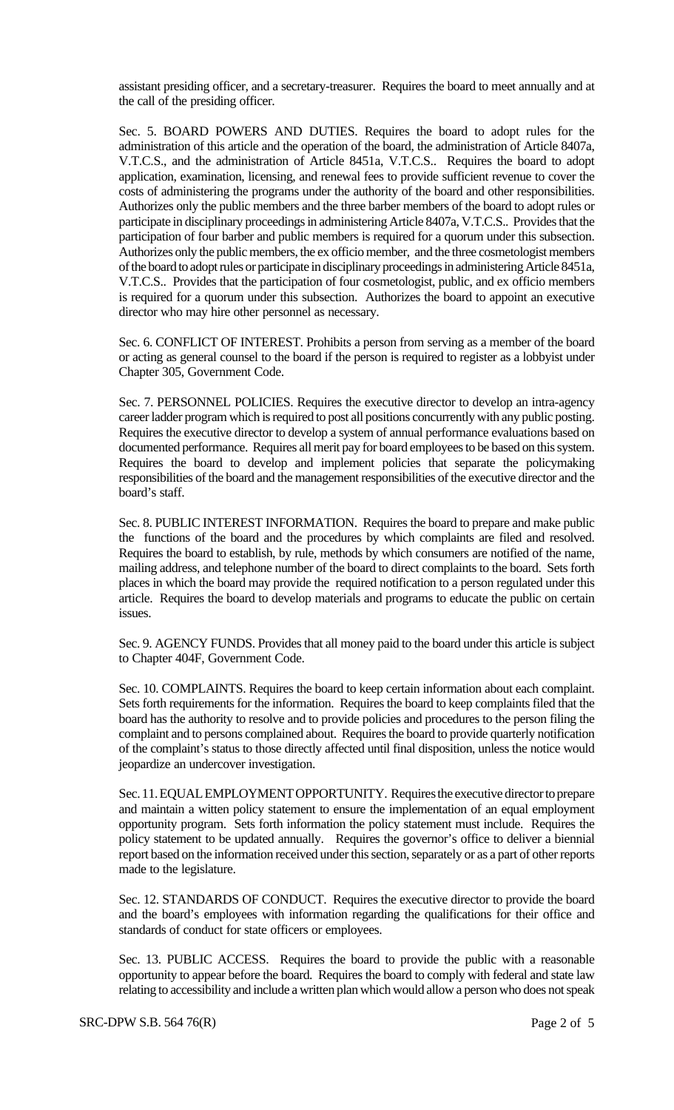assistant presiding officer, and a secretary-treasurer. Requires the board to meet annually and at the call of the presiding officer.

Sec. 5. BOARD POWERS AND DUTIES. Requires the board to adopt rules for the administration of this article and the operation of the board, the administration of Article 8407a, V.T.C.S., and the administration of Article 8451a, V.T.C.S.. Requires the board to adopt application, examination, licensing, and renewal fees to provide sufficient revenue to cover the costs of administering the programs under the authority of the board and other responsibilities. Authorizes only the public members and the three barber members of the board to adopt rules or participate in disciplinary proceedings in administering Article 8407a, V.T.C.S.. Provides that the participation of four barber and public members is required for a quorum under this subsection. Authorizes only the public members, the ex officio member, and the three cosmetologist members of the board to adopt rules or participate in disciplinary proceedings in administering Article 8451a, V.T.C.S.. Provides that the participation of four cosmetologist, public, and ex officio members is required for a quorum under this subsection. Authorizes the board to appoint an executive director who may hire other personnel as necessary.

Sec. 6. CONFLICT OF INTEREST. Prohibits a person from serving as a member of the board or acting as general counsel to the board if the person is required to register as a lobbyist under Chapter 305, Government Code.

Sec. 7. PERSONNEL POLICIES. Requires the executive director to develop an intra-agency career ladder program which is required to post all positions concurrently with any public posting. Requires the executive director to develop a system of annual performance evaluations based on documented performance. Requires all merit pay for board employees to be based on this system. Requires the board to develop and implement policies that separate the policymaking responsibilities of the board and the management responsibilities of the executive director and the board's staff.

Sec. 8. PUBLIC INTEREST INFORMATION. Requires the board to prepare and make public the functions of the board and the procedures by which complaints are filed and resolved. Requires the board to establish, by rule, methods by which consumers are notified of the name, mailing address, and telephone number of the board to direct complaints to the board. Sets forth places in which the board may provide the required notification to a person regulated under this article. Requires the board to develop materials and programs to educate the public on certain issues.

Sec. 9. AGENCY FUNDS. Provides that all money paid to the board under this article is subject to Chapter 404F, Government Code.

Sec. 10. COMPLAINTS. Requires the board to keep certain information about each complaint. Sets forth requirements for the information. Requires the board to keep complaints filed that the board has the authority to resolve and to provide policies and procedures to the person filing the complaint and to persons complained about. Requires the board to provide quarterly notification of the complaint's status to those directly affected until final disposition, unless the notice would jeopardize an undercover investigation.

Sec. 11. EQUAL EMPLOYMENT OPPORTUNITY. Requires the executive director to prepare and maintain a witten policy statement to ensure the implementation of an equal employment opportunity program. Sets forth information the policy statement must include. Requires the policy statement to be updated annually. Requires the governor's office to deliver a biennial report based on the information received under this section, separately or as a part of other reports made to the legislature.

Sec. 12. STANDARDS OF CONDUCT. Requires the executive director to provide the board and the board's employees with information regarding the qualifications for their office and standards of conduct for state officers or employees.

Sec. 13. PUBLIC ACCESS. Requires the board to provide the public with a reasonable opportunity to appear before the board. Requires the board to comply with federal and state law relating to accessibility and include a written plan which would allow a person who does not speak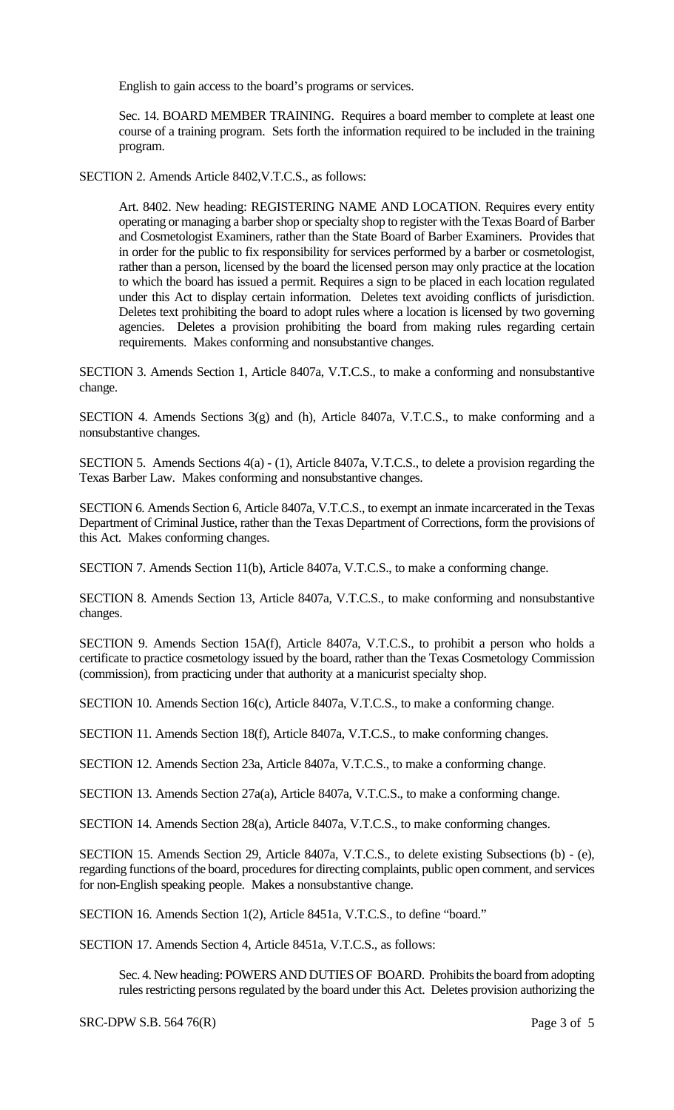English to gain access to the board's programs or services.

Sec. 14. BOARD MEMBER TRAINING. Requires a board member to complete at least one course of a training program. Sets forth the information required to be included in the training program.

SECTION 2. Amends Article 8402,V.T.C.S., as follows:

Art. 8402. New heading: REGISTERING NAME AND LOCATION. Requires every entity operating or managing a barber shop or specialty shop to register with the Texas Board of Barber and Cosmetologist Examiners, rather than the State Board of Barber Examiners. Provides that in order for the public to fix responsibility for services performed by a barber or cosmetologist, rather than a person, licensed by the board the licensed person may only practice at the location to which the board has issued a permit. Requires a sign to be placed in each location regulated under this Act to display certain information. Deletes text avoiding conflicts of jurisdiction. Deletes text prohibiting the board to adopt rules where a location is licensed by two governing agencies. Deletes a provision prohibiting the board from making rules regarding certain requirements. Makes conforming and nonsubstantive changes.

SECTION 3. Amends Section 1, Article 8407a, V.T.C.S., to make a conforming and nonsubstantive change.

SECTION 4. Amends Sections 3(g) and (h), Article 8407a, V.T.C.S., to make conforming and a nonsubstantive changes.

SECTION 5. Amends Sections 4(a) - (1), Article 8407a, V.T.C.S., to delete a provision regarding the Texas Barber Law. Makes conforming and nonsubstantive changes.

SECTION 6. Amends Section 6, Article 8407a, V.T.C.S., to exempt an inmate incarcerated in the Texas Department of Criminal Justice, rather than the Texas Department of Corrections, form the provisions of this Act. Makes conforming changes.

SECTION 7. Amends Section 11(b), Article 8407a, V.T.C.S., to make a conforming change.

SECTION 8. Amends Section 13, Article 8407a, V.T.C.S., to make conforming and nonsubstantive changes.

SECTION 9. Amends Section 15A(f), Article 8407a, V.T.C.S., to prohibit a person who holds a certificate to practice cosmetology issued by the board, rather than the Texas Cosmetology Commission (commission), from practicing under that authority at a manicurist specialty shop.

SECTION 10. Amends Section 16(c), Article 8407a, V.T.C.S., to make a conforming change.

SECTION 11. Amends Section 18(f), Article 8407a, V.T.C.S., to make conforming changes.

SECTION 12. Amends Section 23a, Article 8407a, V.T.C.S., to make a conforming change.

SECTION 13. Amends Section 27a(a), Article 8407a, V.T.C.S., to make a conforming change.

SECTION 14. Amends Section 28(a), Article 8407a, V.T.C.S., to make conforming changes.

SECTION 15. Amends Section 29, Article 8407a, V.T.C.S., to delete existing Subsections (b) - (e), regarding functions of the board, procedures for directing complaints, public open comment, and services for non-English speaking people. Makes a nonsubstantive change.

SECTION 16. Amends Section 1(2), Article 8451a, V.T.C.S., to define "board."

SECTION 17. Amends Section 4, Article 8451a, V.T.C.S., as follows:

Sec. 4. New heading: POWERS AND DUTIES OF BOARD. Prohibits the board from adopting rules restricting persons regulated by the board under this Act. Deletes provision authorizing the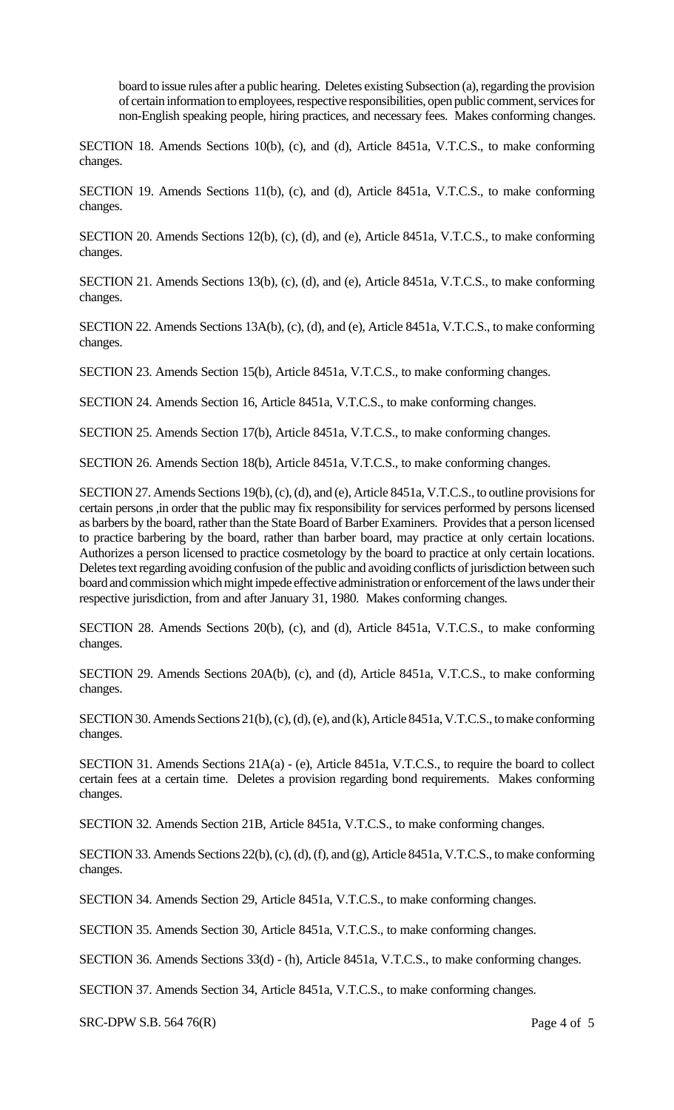board to issue rules after a public hearing. Deletes existing Subsection (a), regarding the provision of certain information to employees, respective responsibilities, open public comment, services for non-English speaking people, hiring practices, and necessary fees. Makes conforming changes.

SECTION 18. Amends Sections 10(b), (c), and (d), Article 8451a, V.T.C.S., to make conforming changes.

SECTION 19. Amends Sections 11(b), (c), and (d), Article 8451a, V.T.C.S., to make conforming changes.

SECTION 20. Amends Sections 12(b), (c), (d), and (e), Article 8451a, V.T.C.S., to make conforming changes.

SECTION 21. Amends Sections 13(b), (c), (d), and (e), Article 8451a, V.T.C.S., to make conforming changes.

SECTION 22. Amends Sections 13A(b), (c), (d), and (e), Article 8451a, V.T.C.S., to make conforming changes.

SECTION 23. Amends Section 15(b), Article 8451a, V.T.C.S., to make conforming changes.

SECTION 24. Amends Section 16, Article 8451a, V.T.C.S., to make conforming changes.

SECTION 25. Amends Section 17(b), Article 8451a, V.T.C.S., to make conforming changes.

SECTION 26. Amends Section 18(b), Article 8451a, V.T.C.S., to make conforming changes.

SECTION 27. Amends Sections 19(b), (c), (d), and (e), Article 8451a, V.T.C.S., to outline provisions for certain persons ,in order that the public may fix responsibility for services performed by persons licensed as barbers by the board, rather than the State Board of Barber Examiners. Provides that a person licensed to practice barbering by the board, rather than barber board, may practice at only certain locations. Authorizes a person licensed to practice cosmetology by the board to practice at only certain locations. Deletes text regarding avoiding confusion of the public and avoiding conflicts of jurisdiction between such board and commission which might impede effective administration or enforcement of the laws under their respective jurisdiction, from and after January 31, 1980. Makes conforming changes.

SECTION 28. Amends Sections 20(b), (c), and (d), Article 8451a, V.T.C.S., to make conforming changes.

SECTION 29. Amends Sections 20A(b), (c), and (d), Article 8451a, V.T.C.S., to make conforming changes.

SECTION 30. Amends Sections 21(b), (c), (d), (e), and (k), Article 8451a, V.T.C.S., to make conforming changes.

SECTION 31. Amends Sections 21A(a) - (e), Article 8451a, V.T.C.S., to require the board to collect certain fees at a certain time. Deletes a provision regarding bond requirements. Makes conforming changes.

SECTION 32. Amends Section 21B, Article 8451a, V.T.C.S., to make conforming changes.

SECTION 33. Amends Sections 22(b), (c), (d), (f), and (g), Article 8451a, V.T.C.S., to make conforming changes.

SECTION 34. Amends Section 29, Article 8451a, V.T.C.S., to make conforming changes.

SECTION 35. Amends Section 30, Article 8451a, V.T.C.S., to make conforming changes.

SECTION 36. Amends Sections 33(d) - (h), Article 8451a, V.T.C.S., to make conforming changes.

SECTION 37. Amends Section 34, Article 8451a, V.T.C.S., to make conforming changes.

 $SRC-DPW S.B. 564 76(R)$  Page 4 of 5